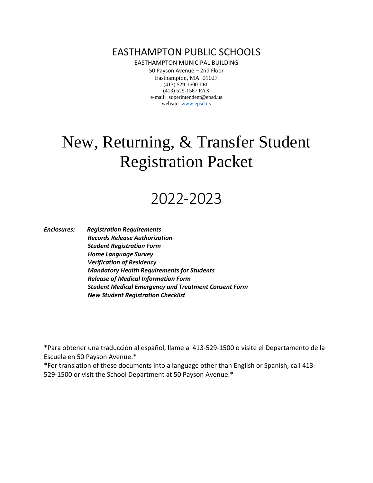EASTHAMPTON PUBLIC SCHOOLS

EASTHAMPTON MUNICIPAL BUILDING

50 Payson Avenue – 2nd Floor Easthampton, MA 01027 (413) 529-1500 TEL (413) 529-1567 FAX e-mail: superintendent@epsd.us website: [www.epsd.us](http://www.epsd.us/)

# New, Returning, & Transfer Student Registration Packet

# 2022-2023

*Enclosures: Registration Requirements Records Release Authorization Student Registration Form Home Language Survey Verification of Residency Mandatory Health Requirements for Students Release of Medical Information Form Student Medical Emergency and Treatment Consent Form New Student Registration Checklist*

\*Para obtener una traducción al español, llame al 413-529-1500 o visite el Departamento de la Escuela en 50 Payson Avenue.\*

\*For translation of these documents into a language other than English or Spanish, call 413- 529-1500 or visit the School Department at 50 Payson Avenue.\*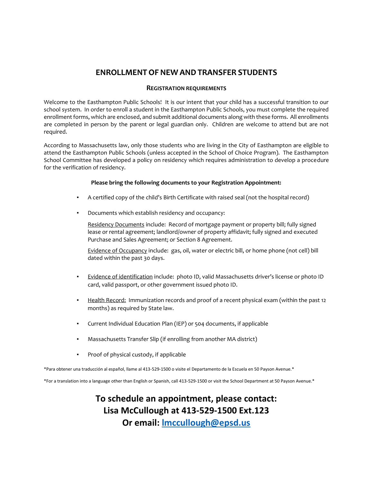# **ENROLLMENTOF NEW AND TRANSFER STUDENTS**

#### **REGISTRATION REQUIREMENTS**

Welcome to the Easthampton Public Schools! It is our intent that your child has a successful transition to our school system. In order to enroll a student in the Easthampton Public Schools, you must complete the required enrollment forms, which are enclosed, and submit additional documents along with these forms. All enrollments are completed in person by the parent or legal guardian only. Children are welcome to attend but are not required.

According to Massachusetts law, only those students who are living in the City of Easthampton are eligible to attend the Easthampton Public Schools (unless accepted in the School of Choice Program). The Easthampton School Committee has developed a policy on residency which requires administration to develop a procedure for the verification of residency.

#### **Please bring the following documents to your Registration Appointment:**

- A certified copy of the child's Birth Certificate with raised seal (not the hospital record)
- Documents which establish residency and occupancy:

Residency Documents include: Record of mortgage payment or property bill; fully signed lease or rental agreement; landlord/owner of property affidavit; fully signed and executed Purchase and Sales Agreement; or Section 8 Agreement.

Evidence of Occupancy include: gas, oil, water or electric bill, or home phone (not cell) bill dated within the past 30 days.

- Evidence of identification include: photo ID, valid Massachusetts driver's license or photo ID card, valid passport, or other government issued photo ID.
- **•** Health Record: Immunization records and proof of a recent physical exam (within the past 12 months) as required by State law.
- Current Individual Education Plan (IEP) or 504 documents, if applicable
- Massachusetts Transfer Slip (if enrolling from another MA district)
- Proof of physical custody, if applicable

\*Para obtener una traducción al español, llame al 413-529-1500 o visite el Departamento de la Escuela en 50 Payson Avenue.\*

\*For a translation into a language other than English or Spanish, call 413-529-1500 or visit the School Department at 50 Payson Avenue.\*

**To schedule an appointment, please contact: Lisa McCullough at 413-529-1500 Ext.123 Or email: [lmccullough@epsd.us](mailto:lmccullough@epsd.us)**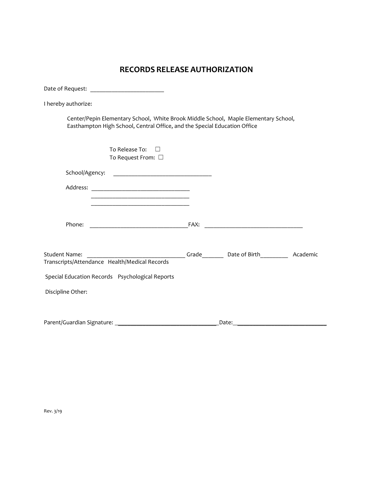# **RECORDS RELEASE AUTHORIZATION**

| I hereby authorize:                                                                                                                                              |       |  |
|------------------------------------------------------------------------------------------------------------------------------------------------------------------|-------|--|
| Center/Pepin Elementary School, White Brook Middle School, Maple Elementary School,<br>Easthampton High School, Central Office, and the Special Education Office |       |  |
| To Release To:<br>$\Box$<br>To Request From: □                                                                                                                   |       |  |
|                                                                                                                                                                  |       |  |
|                                                                                                                                                                  |       |  |
| Phone:                                                                                                                                                           |       |  |
| Student Name:<br>Transcripts/Attendance Health/Medical Records                                                                                                   |       |  |
| Special Education Records Psychological Reports                                                                                                                  |       |  |
| Discipline Other:                                                                                                                                                |       |  |
|                                                                                                                                                                  | Date: |  |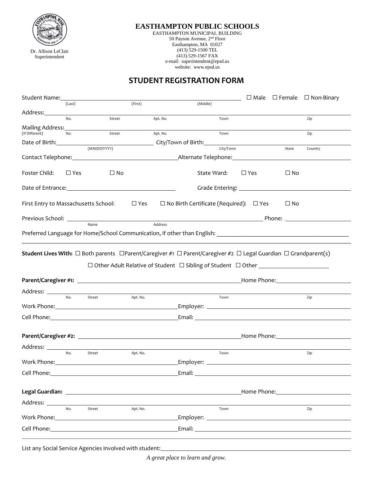

Dr. Allison LeClair Superintendent

#### **EASTHAMPTON PUBLIC SCHOOLS**

EASTHAMPTON MUNICIPAL BUILDING 50 Payson Avenue, 2nd Floor Easthampton, MA 01027 (413) 529-1500 TEL (413) 529-1567 FAX e-mail: superintendent@epsd.us website: www.epsd.us

# **STUDENT REGISTRATION FORM**

| Student Name:                                                                                                                                    |               |                    |            |                                                    |            | $\Box$ Male $\Box$ Female $\Box$ Non-Binary                                                                                                                                                                                         |
|--------------------------------------------------------------------------------------------------------------------------------------------------|---------------|--------------------|------------|----------------------------------------------------|------------|-------------------------------------------------------------------------------------------------------------------------------------------------------------------------------------------------------------------------------------|
|                                                                                                                                                  | (Last)        |                    | (First)    | (Middle)                                           |            |                                                                                                                                                                                                                                     |
| Address:_______                                                                                                                                  |               |                    |            |                                                    |            |                                                                                                                                                                                                                                     |
|                                                                                                                                                  | No.           | Street             | Apt. No.   | Town                                               |            | Zip                                                                                                                                                                                                                                 |
| Mailing Address:<br>(If Different)                                                                                                               | No.           | Street             | Apt. No.   | Town                                               |            | Zip                                                                                                                                                                                                                                 |
|                                                                                                                                                  |               |                    |            |                                                    |            |                                                                                                                                                                                                                                     |
| Date of Birth:                                                                                                                                   |               | (MM/DD/YYYY)       |            | City/Town                                          |            | State<br>Country                                                                                                                                                                                                                    |
|                                                                                                                                                  |               |                    |            |                                                    |            |                                                                                                                                                                                                                                     |
|                                                                                                                                                  |               |                    |            |                                                    |            |                                                                                                                                                                                                                                     |
| Foster Child:                                                                                                                                    | $\square$ Yes | $\sqcup$ No        |            | State Ward:                                        | $\Box$ Yes | $\square$ No                                                                                                                                                                                                                        |
|                                                                                                                                                  |               |                    |            |                                                    |            |                                                                                                                                                                                                                                     |
| First Entry to Massachusetts School:                                                                                                             |               |                    | $\Box$ Yes | $\Box$ No Birth Certificate (Required): $\Box$ Yes |            | $\Box$ No                                                                                                                                                                                                                           |
|                                                                                                                                                  |               |                    |            |                                                    |            |                                                                                                                                                                                                                                     |
|                                                                                                                                                  |               |                    |            |                                                    |            | Previous School: <u>Name</u> Name Address Address Address Address Address Address Address Address Address Address Address Address Address Address Address Address Address Address Address Address Address Address Address Address A |
|                                                                                                                                                  |               |                    |            |                                                    |            |                                                                                                                                                                                                                                     |
|                                                                                                                                                  |               |                    |            |                                                    |            |                                                                                                                                                                                                                                     |
| <b>Student Lives With:</b> $\Box$ Both parents $\Box$ Parent/Caregiver #1 $\Box$ Parent/Caregiver #2 $\Box$ Legal Guardian $\Box$ Grandparent(s) |               |                    |            |                                                    |            |                                                                                                                                                                                                                                     |
|                                                                                                                                                  |               |                    |            |                                                    |            | Home Phone: Network and Separate Separate Separate Separate Separate Separate Separate Separate Separate Separate Separate Separate Separate Separate Separate Separate Separate Separate Separate Separate Separate Separate       |
|                                                                                                                                                  |               |                    |            |                                                    |            |                                                                                                                                                                                                                                     |
|                                                                                                                                                  | No.           | Street<br>Apt. No. |            | Town                                               |            | Zip                                                                                                                                                                                                                                 |
|                                                                                                                                                  |               |                    |            |                                                    |            |                                                                                                                                                                                                                                     |
|                                                                                                                                                  |               |                    |            |                                                    |            |                                                                                                                                                                                                                                     |
|                                                                                                                                                  |               |                    |            |                                                    |            |                                                                                                                                                                                                                                     |
|                                                                                                                                                  |               |                    |            |                                                    |            |                                                                                                                                                                                                                                     |
|                                                                                                                                                  |               |                    |            |                                                    |            |                                                                                                                                                                                                                                     |
| Address: ______                                                                                                                                  |               |                    |            |                                                    |            |                                                                                                                                                                                                                                     |
|                                                                                                                                                  | No.           | Street             | Apt. No.   | Town                                               |            | Zip                                                                                                                                                                                                                                 |
|                                                                                                                                                  |               |                    |            |                                                    |            |                                                                                                                                                                                                                                     |
|                                                                                                                                                  |               |                    |            |                                                    |            |                                                                                                                                                                                                                                     |
| Cell Phone:                                                                                                                                      |               |                    |            | Email:                                             |            |                                                                                                                                                                                                                                     |
|                                                                                                                                                  |               |                    |            |                                                    |            |                                                                                                                                                                                                                                     |
|                                                                                                                                                  |               |                    |            |                                                    |            | Home Phone: The Contract of the Contract of the Contract of the Contract of the Contract of the Contract of the Contract of the Contract of the Contract of the Contract of the Contract of the Contract of the Contract of th      |
| Address: _____                                                                                                                                   |               |                    |            |                                                    |            |                                                                                                                                                                                                                                     |
|                                                                                                                                                  | No.           | Street             | Apt. No.   | Town                                               |            | Zip                                                                                                                                                                                                                                 |
| Work Phone: Vork                                                                                                                                 |               |                    |            |                                                    |            |                                                                                                                                                                                                                                     |
|                                                                                                                                                  |               |                    |            |                                                    |            |                                                                                                                                                                                                                                     |
|                                                                                                                                                  |               |                    |            |                                                    |            |                                                                                                                                                                                                                                     |

List any Social Service Agencies involved with student:

*A great place to learn and grow.*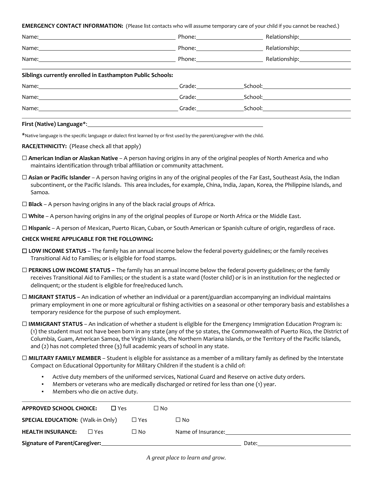**EMERGENCY CONTACT INFORMATION:** (Please list contacts who will assume temporary care of your child if you cannot be reached.)

|                                                                                                                                                                                                                               | Phone:____________________                                                                                                                                                                                                     |                                                                                                                |
|-------------------------------------------------------------------------------------------------------------------------------------------------------------------------------------------------------------------------------|--------------------------------------------------------------------------------------------------------------------------------------------------------------------------------------------------------------------------------|----------------------------------------------------------------------------------------------------------------|
|                                                                                                                                                                                                                               | Phone: 2008                                                                                                                                                                                                                    | Relationship: Nelationship:                                                                                    |
| Name: Name and the second contract of the second contract of the second contract of the second contract of the second contract of the second contract of the second contract of the second contract of the second contract of |                                                                                                                                                                                                                                | Relationship: Management of the set of the set of the set of the set of the set of the set of the set of the s |
| Siblings currently enrolled in Easthampton Public Schools:                                                                                                                                                                    |                                                                                                                                                                                                                                |                                                                                                                |
|                                                                                                                                                                                                                               | Name: Grade: Grade: Grade: Grade: Grade: Grade: Grade: Grade: Grade: Grade: Grade: Grade: Grade: Grade: Grade: Grade: Grade: Grade: Grade: Grade: Grade: Grade: Grade: Grade: Grade: Grade: Grade: Grade: Grade: Grade: Grade: |                                                                                                                |
|                                                                                                                                                                                                                               | Name: Campaign Communication Communication Communication Communication Communication Communication Communication                                                                                                               |                                                                                                                |
|                                                                                                                                                                                                                               | Grade: The Contract of the Contract of the Contract of the Contract of the Contract of the Contract of the Contract of the Contract of the Contract of the Contract of the Contract of the Contract of the Contract of the Con | School: Andrew Monday                                                                                          |
|                                                                                                                                                                                                                               |                                                                                                                                                                                                                                |                                                                                                                |

#### **First (Native) Language**\*:

\*Native language is the specific language or dialect first learned by or first used by the parent/caregiver with the child.

#### **RACE/ETHNICITY:** (Please check all that apply)

- ☐ **American Indian or Alaskan Native** A person having origins in any of the original peoples of North America and who maintains identification through tribal affiliation or community attachment.
- □ **Asian or Pacific Islander** A person having origins in any of the original peoples of the Far East, Southeast Asia, the Indian subcontinent, or the Pacific Islands. This area includes, for example, China, India, Japan, Korea, the Philippine Islands, and Samoa.
- □ **Black** A person having origins in any of the black racial groups of Africa.
- ☐ **White** A person having origins in any of the original peoples of Europe or North Africa or the Middle East.
- ☐ **Hispanic** A person of Mexican, Puerto Rican, Cuban, or South American or Spanish culture of origin, regardless of race.

#### **CHECK WHERE APPLICABLE FOR THE FOLLOWING:**

- ☐ **LOW INCOME STATUS –** The family has an annual income below the federal poverty guidelines; or the family receives Transitional Aid to Families; or is eligible for food stamps.
- ☐ **PERKINS LOW INCOME STATUS –** The family has an annual income below the federal poverty guidelines; or the family receives Transitional Aid to Families; or the student is a state ward (foster child) or is in an institution for the neglected or delinquent; or the student is eligible for free/reduced lunch.
- ☐ **MIGRANT STATUS –** An indication of whether an individual or a parent/guardian accompanying an individual maintains primary employment in one or more agricultural or fishing activities on a seasonal or other temporary basis and establishes a temporary residence for the purpose of such employment.
- ☐ **IMMIGRANT STATUS** An indication of whether a student is eligible for the Emergency Immigration Education Program is: (1) the student must not have been born in any state (any of the 50 states, the Commonwealth of Puerto Rico, the District of Columbia, Guam, American Samoa, the Virgin Islands, the Northern Mariana Islands, or the Territory of the Pacific Islands, and (2) has not completed three (3) full academic years of school in any state.
- ☐ **MILITARY FAMILY MEMBER** Student is eligible for assistance as a member of a military family as defined by the Interstate Compact on Educational Opportunity for Military Children if the student is a child of:
	- Active duty members of the uniformed services, National Guard and Reserve on active duty orders.
	- Members or veterans who are medically discharged or retired for less than one (1) year.
	- Members who die on active duty.

| <b>APPROVED SCHOOL CHOICE:</b>           | $\Box$ Yes |               | □ No |                    |
|------------------------------------------|------------|---------------|------|--------------------|
| <b>SPECIAL EDUCATION: (Walk-in Only)</b> |            | $\square$ Yes |      | $\square$ No       |
| <b>HEALTH INSURANCE:</b><br>$\Box$ Yes   |            | $\square$ No  |      | Name of Insurance: |
| Signature of Parent/Caregiver:           |            |               |      | Date:              |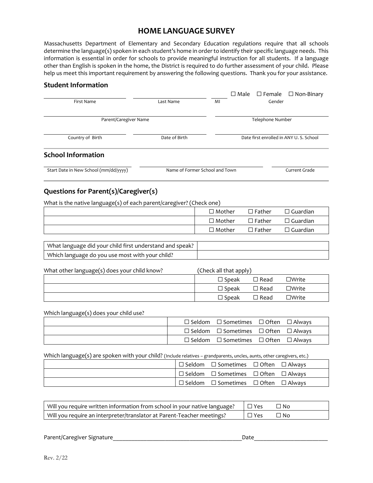# **HOME LANGUAGE SURVEY**

Massachusetts Department of Elementary and Secondary Education regulations require that all schools determine the language(s) spoken in each student's home in order to identify their specific language needs. This information is essential in order for schools to provide meaningful instruction for all students. If a language other than English is spoken in the home, the District is required to do further assessment of your child. Please help us meet this important requirement by answering the following questions. Thank you for your assistance.

#### **Student Information**

| First Name                            | Last Name                      | MI | $\square$ Female<br>$\square$ Male<br>$\Box$ Non-Binary<br>Gender |  |
|---------------------------------------|--------------------------------|----|-------------------------------------------------------------------|--|
| Parent/Caregiver Name                 |                                |    | Telephone Number                                                  |  |
| Country of Birth                      | Date of Birth                  |    | Date first enrolled in ANY U.S. School                            |  |
| <b>School Information</b>             |                                |    |                                                                   |  |
| Start Date in New School (mm/dd/yyyy) | Name of Former School and Town |    | Current Grade                                                     |  |

## **Questions for Parent(s)/Caregiver(s)**

What is the native language(s) of each parent/caregiver? (Check one)

| $\Box$ Mother | $\Box$ Father | $\Box$ Guardian    |
|---------------|---------------|--------------------|
| $\Box$ Mother | $\Box$ Father | $\square$ Guardian |
| $\Box$ Mother | $\Box$ Father | $\Box$ Guardian    |

| What language did your child first understand and speak? |  |
|----------------------------------------------------------|--|
| Which language do you use most with your child?          |  |

| What other language(s) does your child know? | (Check all that apply) |                |                 |  |
|----------------------------------------------|------------------------|----------------|-----------------|--|
|                                              | $\square$ Speak        | $\square$ Read | $\square$ Write |  |
|                                              | $\square$ Speak        | $\Box$ Read    | $\Box$ Write    |  |
|                                              | $\square$ Speak        | $\Box$ Read    | $\Box$ Write    |  |

Which language(s) does your child use?

|  | $\Box$ Seldom $\Box$ Sometimes $\Box$ Often $\Box$ Always |  |
|--|-----------------------------------------------------------|--|
|  | $\Box$ Seldom $\Box$ Sometimes $\Box$ Often $\Box$ Always |  |
|  | $\Box$ Seldom $\Box$ Sometimes $\Box$ Often $\Box$ Always |  |

Which language(s) are spoken with your child? (Include relatives - grandparents, uncles, aunts, other caregivers, etc.)

|  | $\Box$ Seldom $\Box$ Sometimes $\Box$ Often $\Box$ Always |  |
|--|-----------------------------------------------------------|--|
|  | $\Box$ Seldom $\Box$ Sometimes $\Box$ Often $\Box$ Always |  |
|  | $\Box$ Seldom $\Box$ Sometimes $\Box$ Often $\Box$ Always |  |

| Will you require written information from school in your native language? | $\Box$ Yes | <sup>1</sup> No |
|---------------------------------------------------------------------------|------------|-----------------|
| Will you require an interpreter/translator at Parent-Teacher meetings?    | Yes        | ' No            |

Parent/Caregiver Signature\_\_\_\_\_\_\_\_\_\_\_\_\_\_\_\_\_\_\_\_\_\_\_\_\_\_\_\_\_\_\_\_\_\_\_\_\_\_\_\_\_\_Date\_\_\_\_\_\_\_\_\_\_\_\_\_\_\_\_\_\_\_\_\_\_\_\_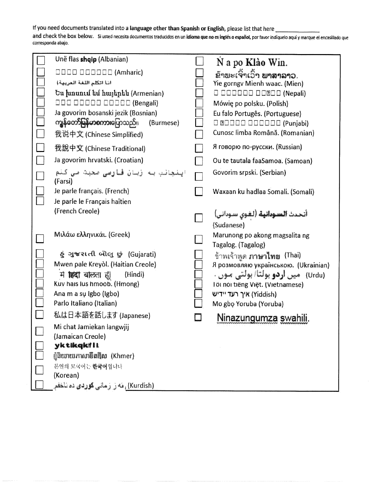# If you need documents translated into a language other than Spanish or English, please list that here

and check the box below. Si usted necesita documentos traducidos en un idioma que no es inglés o español, por favor indíquelo aquí y marque el encasillado que corresponda abajo.

|        | Unë flas shqip (Albanian)                                  | N a po Klão Win.                                     |
|--------|------------------------------------------------------------|------------------------------------------------------|
|        | $\Box$ $\Box$ $\Box$ $\Box$ $\Box$ $\Box$ $\Box$ (Amharic) | ່ຂ້າພະເຈົ້າເວົ້າ <b>ພາສາລາ</b> ວ.                    |
|        | اننا أتكلم اللغة المريبية)                                 | Yie gorngv Mienh waac. (Mien)                        |
|        | Ես խոսում եմ հայերեն (Armenian)                            | O DOODOO OO®OO (Nepali)                              |
|        | ODO OODOO OOOOO (Bengali)                                  | Mówię po polsku. (Polish)                            |
|        | Ja govorim bosanski jezik (Bosnian)                        | Eu falo Portugês. (Portuguese)                       |
|        | ကျွန်တော်မြန်မာစကားပြောသည်။<br>(Burmese)                   |                                                      |
|        | 我说中文 (Chinese Simplified)                                  | Cunosc limba Română. (Romanian)                      |
|        | 我說中文 (Chinese Traditional)                                 | Я говорю по-русски. (Russian)                        |
|        | Ja govorim hrvatski. (Croatian)                            | Ou te tautala faaSamoa. (Samoan)                     |
|        | ایشیاشیا به زبان قارسی صحبت می کنم<br>(Farsi)              | Govorim srpski. (Serbian)                            |
|        | Je parle français. (French)                                | Waxaan ku hadlaa Somali. (Somali)                    |
|        | Je parle le Français haïtien                               |                                                      |
|        | (French Creole)                                            | أتحدث السودانية (لغوي سوداني)<br>(Sudanese)          |
|        | Μιλάω ελληνικάι. (Greek)                                   | Marunong po akong magsalita ng<br>Tagalog. (Tagalog) |
|        | & ગુજરાતી બોલુ છું (Gujarati)                              | ข้าพเจ้าพูด <b>ภาษาไทย</b> (Thai)                    |
|        | Mwen pale Kreyòl. (Haitian Creole)                         | Я розмовляю українською. (Ukrainian)                 |
|        | म <b>हिंदी</b> बल्किता हैं।<br>(Hindi)                     | (Urdu)   میں <b>اردو</b> ہولتاً/ ہولتی موں           |
|        | Kuv hais lus hmoob. (Hmong)                                | löt nói tiếng Việt. (Vietnamese)                     |
|        | Ana m a su Igbo (Igbo)                                     | איך רעד יידיש (Yiddish)                              |
|        | Parlo Italiano (Italian)                                   | Mo gbo Yoruba (Yoruba)                               |
|        | 私は日本語を話します (Japanese)                                      | <u>Ninazungumza swahili.</u>                         |
|        | Mi chat Jamiekan langwjij                                  |                                                      |
|        | (Jamaican Creole)                                          |                                                      |
|        | yktikqkili.                                                |                                                      |
|        | ដ្ឋិនិយាយភាសាឌីតគ្មីស (Khmer)                              |                                                      |
| $\Box$ | 분인의 모국어는 한국어입니다                                            |                                                      |
|        | (Korean)                                                   |                                                      |
|        | (Kurdish) ، مَه رَ رَسَانی <b>کوردی</b> ده ناخفم           |                                                      |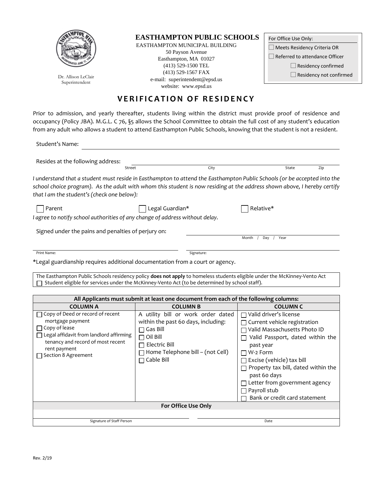

Superintendent

## **EASTHAMPTON PUBLIC SCHOOLS**

EASTHAMPTON MUNICIPAL BUILDING 50 Payson Avenue Easthampton, MA 01027 (413) 529-1500 TEL (413) 529-1567 FAX e-mail: superintendent@epsd.us Dr. Allison LeClair ⃞ Residency not confirmed website: www.epsd.us

| For Office Use Only:               |
|------------------------------------|
| $\Box$ Meets Residency Criteria OR |
| Referred to attendance Officer     |
| $\Box$ Residency confirmed         |
| $\Box$ Residency not confirmed     |
|                                    |

# **VERIFICATION OF RESIDENCY**

Prior to admission, and yearly thereafter, students living within the district must provide proof of residence and occupancy (Policy JBA). M.G.L. C 76, §5 allows the School Committee to obtain the full cost of any student's education from any adult who allows a student to attend Easthampton Public Schools, knowing that the student is not a resident.

| Student's Name:                                                                                                                                          |                                                                                                                                                                                                                             |                                                                                                                                                                                                                                                                                                                                                    |
|----------------------------------------------------------------------------------------------------------------------------------------------------------|-----------------------------------------------------------------------------------------------------------------------------------------------------------------------------------------------------------------------------|----------------------------------------------------------------------------------------------------------------------------------------------------------------------------------------------------------------------------------------------------------------------------------------------------------------------------------------------------|
| Resides at the following address:                                                                                                                        |                                                                                                                                                                                                                             |                                                                                                                                                                                                                                                                                                                                                    |
| Street                                                                                                                                                   | City                                                                                                                                                                                                                        | State<br>Zip                                                                                                                                                                                                                                                                                                                                       |
| that I am the student's (check one below):                                                                                                               |                                                                                                                                                                                                                             | I understand that a student must reside in Easthampton to attend the Easthampton Public Schools (or be accepted into the<br>school choice program). As the adult with whom this student is now residing at the address shown above, I hereby certify                                                                                               |
| Parent                                                                                                                                                   | Legal Guardian*                                                                                                                                                                                                             | Relative*                                                                                                                                                                                                                                                                                                                                          |
| I agree to notify school authorities of any change of address without delay.                                                                             |                                                                                                                                                                                                                             |                                                                                                                                                                                                                                                                                                                                                    |
| Signed under the pains and penalties of perjury on:                                                                                                      |                                                                                                                                                                                                                             |                                                                                                                                                                                                                                                                                                                                                    |
|                                                                                                                                                          |                                                                                                                                                                                                                             | Month<br>Day<br>Year                                                                                                                                                                                                                                                                                                                               |
| Print Name:                                                                                                                                              | Signature:                                                                                                                                                                                                                  |                                                                                                                                                                                                                                                                                                                                                    |
| *Legal guardianship requires additional documentation from a court or agency.                                                                            |                                                                                                                                                                                                                             |                                                                                                                                                                                                                                                                                                                                                    |
|                                                                                                                                                          | The Easthampton Public Schools residency policy does not apply to homeless students eligible under the McKinney-Vento Act<br>Student eligible for services under the McKinney-Vento Act (to be determined by school staff). |                                                                                                                                                                                                                                                                                                                                                    |
|                                                                                                                                                          |                                                                                                                                                                                                                             |                                                                                                                                                                                                                                                                                                                                                    |
|                                                                                                                                                          | All Applicants must submit at least one document from each of the following columns:                                                                                                                                        |                                                                                                                                                                                                                                                                                                                                                    |
| <b>COLUMN A</b><br>Copy of Deed or record of recent                                                                                                      | <b>COLUMN B</b>                                                                                                                                                                                                             | <b>COLUMN C</b><br>□ Valid driver's license                                                                                                                                                                                                                                                                                                        |
| mortgage payment<br>Copy of lease<br>Legal affidavit from landlord affirming<br>tenancy and record of most recent<br>rent payment<br>Section 8 Agreement | A utility bill or work order dated<br>within the past 60 days, including:<br>$\Box$ Gas Bill<br>$\Box$ Oil Bill<br>$\Box$ Electric Bill<br>□ Home Telephone bill - (not Cell)<br>$\Box$ Cable Bill<br>For Office Use Only   | $\Box$ Current vehicle registration<br>□ Valid Massachusetts Photo ID<br>$\Box$ Valid Passport, dated within the<br>past year<br>$\Box$ W-2 Form<br>$\Box$ Excise (vehicle) tax bill<br>$\Box$ Property tax bill, dated within the<br>past 60 days<br>$\Box$ Letter from government agency<br>$\Box$ Payroll stub<br>Bank or credit card statement |
|                                                                                                                                                          |                                                                                                                                                                                                                             |                                                                                                                                                                                                                                                                                                                                                    |
| Signature of Staff Person                                                                                                                                |                                                                                                                                                                                                                             | Date                                                                                                                                                                                                                                                                                                                                               |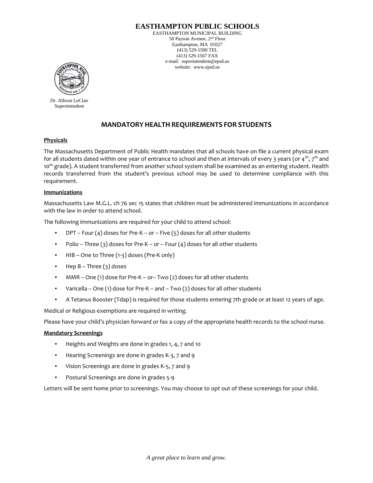## **EASTHAMPTON PUBLIC SCHOOLS**

EASTHAMPTON MUNICIPAL BUILDING 50 Payson Avenue, 2nd Floor Easthampton, MA 01027 (413) 529-1500 TEL (413) 529-1567 FAX e-mail: superintendent@epsd.us website: www.epsd.us



Dr. Allison LeClair Superintendent

## **MANDATORY HEALTH REQUIREMENTS FOR STUDENTS**

#### **Physicals**

The Massachusetts Department of Public Health mandates that all schools have on file a current physical exam for all students dated within one year of entrance to school and then at intervals of every 3 years (or  $4^{th}$ , 7<sup>th</sup> and 10<sup>th</sup> grade). A student transferred from another school system shall be examined as an entering student. Health records transferred from the student's previous school may be used to determine compliance with this requirement.

#### **Immunizations**

Massachusetts Law M.G.L. ch 76 sec 15 states that children must be administered immunizations in accordance with the law in order to attend school.

The following immunizations are required for your child to attend school:

- **•** DPT Four  $(4)$  doses for Pre-K or Five  $(5)$  doses for all other students
- $\blacksquare$  Polio Three (3) doses for Pre-K or Four (4) doses for all other students
- HIB One to Three (1-3) doses (Pre-K only)
- $\blacksquare$  Hep B Three (3) doses
- MMR One (1) dose for Pre-K or– Two (2) doses for all other students
- Varicella One (1) dose for Pre-K and Two (2) doses for all other students
- A Tetanus Booster (Tdap) is required for those students entering 7th grade or at least 12 years of age.

Medical or Religious exemptions are required in writing.

Please have your child's physician forward or fax a copy of the appropriate health records to the school nurse.

#### **Mandatory Screenings**

- Heights and Weights are done in grades 1, 4, 7 and 10
- Hearing Screenings are done in grades K-3, 7 and 9
- Vision Screenings are done in grades K-5, 7 and 9
- Postural Screenings are done in grades 5-9

Letters will be sent home prior to screenings. You may choose to opt out of these screenings for your child.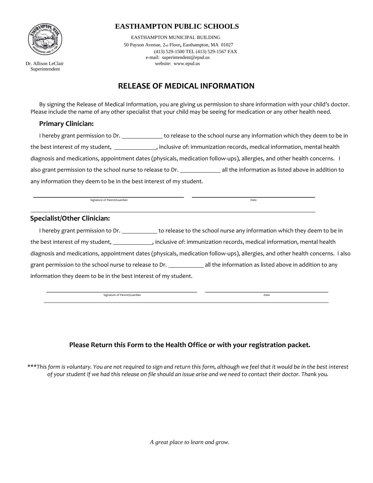

Superintendent

## **EASTHAMPTON PUBLIC SCHOOLS**

 EASTHAMPTON MUNICIPAL BUILDING 50 Payson Avenue, 2nd Floor, Easthampton, MA 01027 (413) 529-1500 TEL (413) 529-1567 FAX e-mail: superintendent@epsd.us Dr. Allison LeClair website: www.epsd.us

# **RELEASE OF MEDICAL INFORMATION**

By signing the Release of Medical Information, you are giving us permission to share information with your child's doctor. Please include the name of any other specialist that your child may be seeing for medication or any other health need.

#### **Primary Clinician:**

I hereby grant permission to Dr. \_\_\_\_\_\_\_\_\_\_\_\_\_\_\_\_ to release to the school nurse any information which they deem to be in the best interest of my student, \_\_\_\_\_\_\_\_\_\_\_\_\_\_, inclusive of: immunization records, medical information, mental health diagnosis and medications, appointment dates (physicals, medication follow-ups), allergies, and other health concerns. I also grant permission to the school nurse to release to Dr. **all the information as listed above in addition to** any information they deem to be in the best interest of my student.

Signature of Parent/Guardian Date

#### **Specialist/Other Clinician:**

I hereby grant permission to Dr. the state of release to the school nurse any information which they deem to be in the best interest of my student, , and more inclusive of: immunization records, medical information, mental health diagnosis and medications, appointment dates (physicals, medication follow-ups), allergies, and other health concerns. I also grant permission to the school nurse to release to Dr. \_\_\_\_\_\_\_\_\_\_\_\_\_\_\_\_\_\_\_\_\_\_\_\_\_\_ all the information as listed above in addition to any information they deem to be in the best interest of my student.

Signature of Parent/Guardian Date **Date of Parent/Guardian** Date **Date of Parent/Guardian** 

## **Please Return this Form to the Health Office or with your registration packet.**

*\*\*\*This form is voluntary. You are not required to sign and return this form, although we feel that it would be in the best interest of your student if we had this release on file should an issue arise and we need to contact their doctor. Thank you.* 

*A great place to learn and grow.*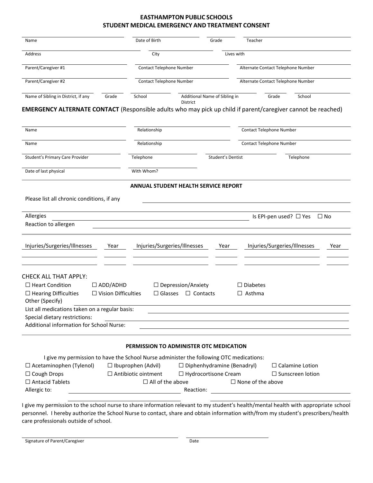#### **EASTHAMPTON PUBLIC SCHOOLS STUDENT MEDICAL EMERGENCY AND TREATMENT CONSENT**

| Name                                                                                                                                                                                                                                                                                                                                                             | Date of Birth                               | Grade                             | Teacher                            |              |
|------------------------------------------------------------------------------------------------------------------------------------------------------------------------------------------------------------------------------------------------------------------------------------------------------------------------------------------------------------------|---------------------------------------------|-----------------------------------|------------------------------------|--------------|
| Address                                                                                                                                                                                                                                                                                                                                                          | City                                        | Lives with                        |                                    |              |
| Parent/Caregiver #1                                                                                                                                                                                                                                                                                                                                              | Contact Telephone Number                    |                                   | Alternate Contact Telephone Number |              |
| Parent/Caregiver #2                                                                                                                                                                                                                                                                                                                                              | Contact Telephone Number                    |                                   | Alternate Contact Telephone Number |              |
| Name of Sibling in District, if any<br>Grade                                                                                                                                                                                                                                                                                                                     | School<br>District                          | Additional Name of Sibling in     | Grade<br>School                    |              |
| <b>EMERGENCY ALTERNATE CONTACT</b> (Responsible adults who may pick up child if parent/caregiver cannot be reached)                                                                                                                                                                                                                                              |                                             |                                   |                                    |              |
| Name                                                                                                                                                                                                                                                                                                                                                             | Relationship                                |                                   | Contact Telephone Number           |              |
| Name                                                                                                                                                                                                                                                                                                                                                             | Relationship                                |                                   | Contact Telephone Number           |              |
| Student's Primary Care Provider                                                                                                                                                                                                                                                                                                                                  | Telephone                                   | Student's Dentist                 | Telephone                          |              |
| Date of last physical                                                                                                                                                                                                                                                                                                                                            | With Whom?                                  |                                   |                                    |              |
|                                                                                                                                                                                                                                                                                                                                                                  | <b>ANNUAL STUDENT HEALTH SERVICE REPORT</b> |                                   |                                    |              |
|                                                                                                                                                                                                                                                                                                                                                                  |                                             |                                   |                                    |              |
|                                                                                                                                                                                                                                                                                                                                                                  |                                             |                                   |                                    |              |
|                                                                                                                                                                                                                                                                                                                                                                  |                                             |                                   |                                    |              |
|                                                                                                                                                                                                                                                                                                                                                                  |                                             |                                   |                                    |              |
|                                                                                                                                                                                                                                                                                                                                                                  |                                             |                                   | Is EPI-pen used? □ Yes             | $\square$ No |
| Please list all chronic conditions, if any<br>Allergies<br>Reaction to allergen                                                                                                                                                                                                                                                                                  |                                             |                                   |                                    |              |
| Year                                                                                                                                                                                                                                                                                                                                                             | Injuries/Surgeries/Illnesses                | Year                              | Injuries/Surgeries/Illnesses       | Year         |
|                                                                                                                                                                                                                                                                                                                                                                  |                                             |                                   |                                    |              |
| $\square$ ADD/ADHD                                                                                                                                                                                                                                                                                                                                               | $\Box$ Depression/Anxiety                   |                                   | $\Box$ Diabetes                    |              |
| $\Box$ Vision Difficulties                                                                                                                                                                                                                                                                                                                                       | $\Box$ Glasses                              | $\Box$ Contacts                   | $\Box$ Asthma                      |              |
|                                                                                                                                                                                                                                                                                                                                                                  |                                             |                                   |                                    |              |
|                                                                                                                                                                                                                                                                                                                                                                  |                                             |                                   |                                    |              |
|                                                                                                                                                                                                                                                                                                                                                                  |                                             |                                   |                                    |              |
|                                                                                                                                                                                                                                                                                                                                                                  |                                             |                                   |                                    |              |
|                                                                                                                                                                                                                                                                                                                                                                  | PERMISSION TO ADMINISTER OTC MEDICATION     |                                   |                                    |              |
| I give my permission to have the School Nurse administer the following OTC medications:                                                                                                                                                                                                                                                                          |                                             |                                   |                                    |              |
|                                                                                                                                                                                                                                                                                                                                                                  | $\Box$ Ibuprophen (Advil)                   | $\Box$ Diphenhydramine (Benadryl) | $\Box$ Calamine Lotion             |              |
|                                                                                                                                                                                                                                                                                                                                                                  | $\Box$ Antibiotic ointment                  | □ Hydrocortisone Cream            | $\Box$ Sunscreen lotion            |              |
| Injuries/Surgeries/Illnesses<br><b>CHECK ALL THAT APPLY:</b><br>$\Box$ Heart Condition<br>$\Box$ Hearing Difficulties<br>Other (Specify)<br>List all medications taken on a regular basis:<br>Special dietary restrictions:<br><b>Additional information for School Nurse:</b><br>$\Box$ Acetaminophen (Tylenol)<br>$\Box$ Cough Drops<br>$\Box$ Antacid Tablets | $\Box$ All of the above                     |                                   | $\Box$ None of the above           |              |

personnel. I hereby authorize the School Nurse to contact, share and obtain information with/from my student's prescribers/health care professionals outside of school.